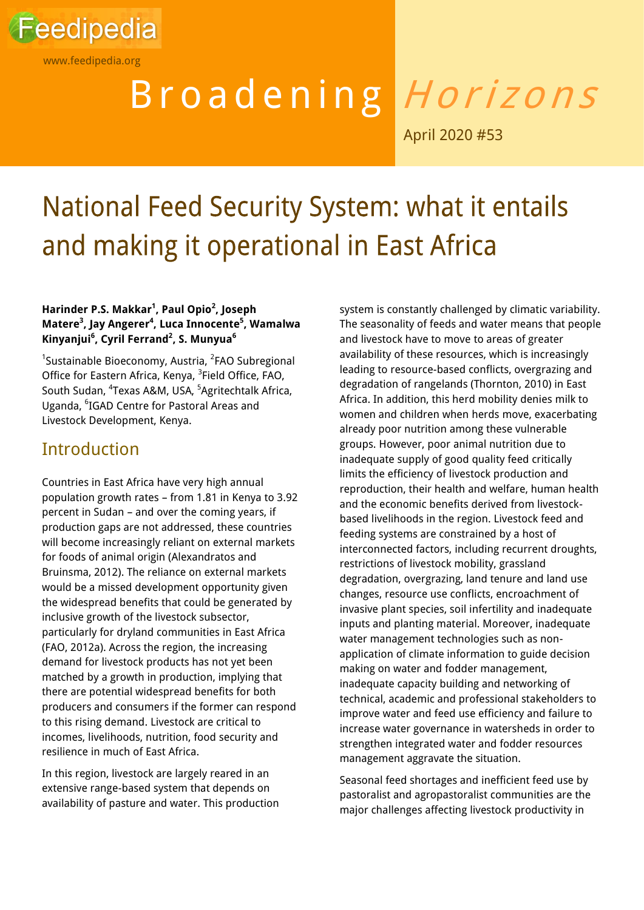

www.feedipedia.org

# Broadening Horizons

April 2020 #53

## **National Feed Security System: what it entails** and making it operational in East Africa

#### **Harinder P.S. Makkar<sup>1</sup> , Paul Opio<sup>2</sup> , Joseph Matere<sup>3</sup> , Jay Angerer<sup>4</sup> , Luca Innocente<sup>5</sup> , Wamalwa Kinyanjui<sup>6</sup> , Cyril Ferrand<sup>2</sup> , S. Munyua<sup>6</sup>**

<sup>1</sup>Sustainable Bioeconomy, Austria, <sup>2</sup>FAO Subregional Office for Eastern Africa, Kenya, <sup>3</sup>Field Office, FAO, South Sudan, <sup>4</sup>Texas A&M, USA, <sup>5</sup>Agritechtalk Africa, Uganda, <sup>6</sup>IGAD Centre for Pastoral Areas and Livestock Development, Kenya.

#### **Introduction**

Countries in East Africa have very high annual population growth rates – from 1.81 in Kenya to 3.92 percent in Sudan – and over the coming years, if production gaps are not addressed, these countries will become increasingly reliant on external markets for foods of animal origin (Alexandratos and Bruinsma, 2012). The reliance on external markets would be a missed development opportunity given the widespread benefits that could be generated by inclusive growth of the livestock subsector, particularly for dryland communities in East Africa (FAO, 2012a). Across the region, the increasing demand for livestock products has not yet been matched by a growth in production, implying that there are potential widespread benefits for both producers and consumers if the former can respond to this rising demand. Livestock are critical to incomes, livelihoods, nutrition, food security and resilience in much of East Africa.

In this region, livestock are largely reared in an extensive range-based system that depends on availability of pasture and water. This production system is constantly challenged by climatic variability. The seasonality of feeds and water means that people and livestock have to move to areas of greater availability of these resources, which is increasingly leading to resource-based conflicts, overgrazing and degradation of rangelands (Thornton, 2010) in East Africa. In addition, this herd mobility denies milk to women and children when herds move, exacerbating already poor nutrition among these vulnerable groups. However, poor animal nutrition due to inadequate supply of good quality feed critically limits the efficiency of livestock production and reproduction, their health and welfare, human health and the economic benefits derived from livestockbased livelihoods in the region. Livestock feed and feeding systems are constrained by a host of interconnected factors, including recurrent droughts, restrictions of livestock mobility, grassland degradation, overgrazing, land tenure and land use changes, resource use conflicts, encroachment of invasive plant species, soil infertility and inadequate inputs and planting material. Moreover, inadequate water management technologies such as nonapplication of climate information to guide decision making on water and fodder management, inadequate capacity building and networking of technical, academic and professional stakeholders to improve water and feed use efficiency and failure to increase water governance in watersheds in order to strengthen integrated water and fodder resources management aggravate the situation.

Seasonal feed shortages and inefficient feed use by pastoralist and agropastoralist communities are the major challenges affecting livestock productivity in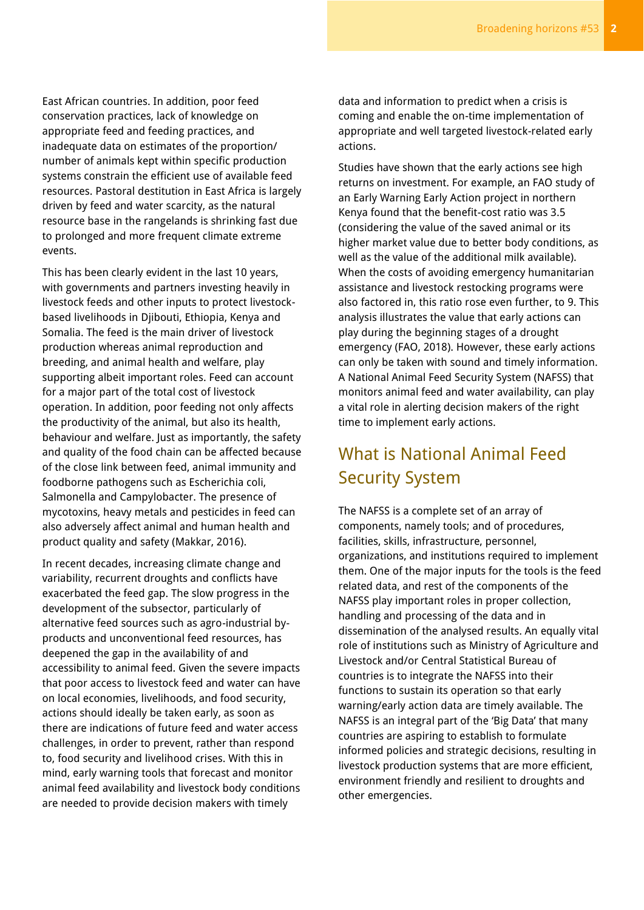East African countries. In addition, poor feed conservation practices, lack of knowledge on appropriate feed and feeding practices, and inadequate data on estimates of the proportion/ number of animals kept within specific production systems constrain the efficient use of available feed resources. Pastoral destitution in East Africa is largely driven by feed and water scarcity, as the natural resource base in the rangelands is shrinking fast due to prolonged and more frequent climate extreme events.

This has been clearly evident in the last 10 years, with governments and partners investing heavily in livestock feeds and other inputs to protect livestockbased livelihoods in Djibouti, Ethiopia, Kenya and Somalia. The feed is the main driver of livestock production whereas animal reproduction and breeding, and animal health and welfare, play supporting albeit important roles. Feed can account for a major part of the total cost of livestock operation. In addition, poor feeding not only affects the productivity of the animal, but also its health, behaviour and welfare. Just as importantly, the safety and quality of the food chain can be affected because of the close link between feed, animal immunity and foodborne pathogens such as Escherichia coli, Salmonella and Campylobacter. The presence of mycotoxins, heavy metals and pesticides in feed can also adversely affect animal and human health and product quality and safety (Makkar, 2016).

In recent decades, increasing climate change and variability, recurrent droughts and conflicts have exacerbated the feed gap. The slow progress in the development of the subsector, particularly of alternative feed sources such as agro-industrial byproducts and unconventional feed resources, has deepened the gap in the availability of and accessibility to animal feed. Given the severe impacts that poor access to livestock feed and water can have on local economies, livelihoods, and food security, actions should ideally be taken early, as soon as there are indications of future feed and water access challenges, in order to prevent, rather than respond to, food security and livelihood crises. With this in mind, early warning tools that forecast and monitor animal feed availability and livestock body conditions are needed to provide decision makers with timely

data and information to predict when a crisis is coming and enable the on-time implementation of appropriate and well targeted livestock-related early actions.

Studies have shown that the early actions see high returns on investment. For example, an FAO study of an Early Warning Early Action project in northern Kenya found that the benefit-cost ratio was 3.5 (considering the value of the saved animal or its higher market value due to better body conditions, as well as the value of the additional milk available). When the costs of avoiding emergency humanitarian assistance and livestock restocking programs were also factored in, this ratio rose even further, to 9. This analysis illustrates the value that early actions can play during the beginning stages of a drought emergency (FAO, 2018). However, these early actions can only be taken with sound and timely information. A National Animal Feed Security System (NAFSS) that monitors animal feed and water availability, can play a vital role in alerting decision makers of the right time to implement early actions.

#### What is National Animal Feed Security System

The NAFSS is a complete set of an array of components, namely tools; and of procedures, facilities, skills, infrastructure, personnel, organizations, and institutions required to implement them. One of the major inputs for the tools is the feed related data, and rest of the components of the NAFSS play important roles in proper collection, handling and processing of the data and in dissemination of the analysed results. An equally vital role of institutions such as Ministry of Agriculture and Livestock and/or Central Statistical Bureau of countries is to integrate the NAFSS into their functions to sustain its operation so that early warning/early action data are timely available. The NAFSS is an integral part of the 'Big Data' that many countries are aspiring to establish to formulate informed policies and strategic decisions, resulting in livestock production systems that are more efficient, environment friendly and resilient to droughts and other emergencies.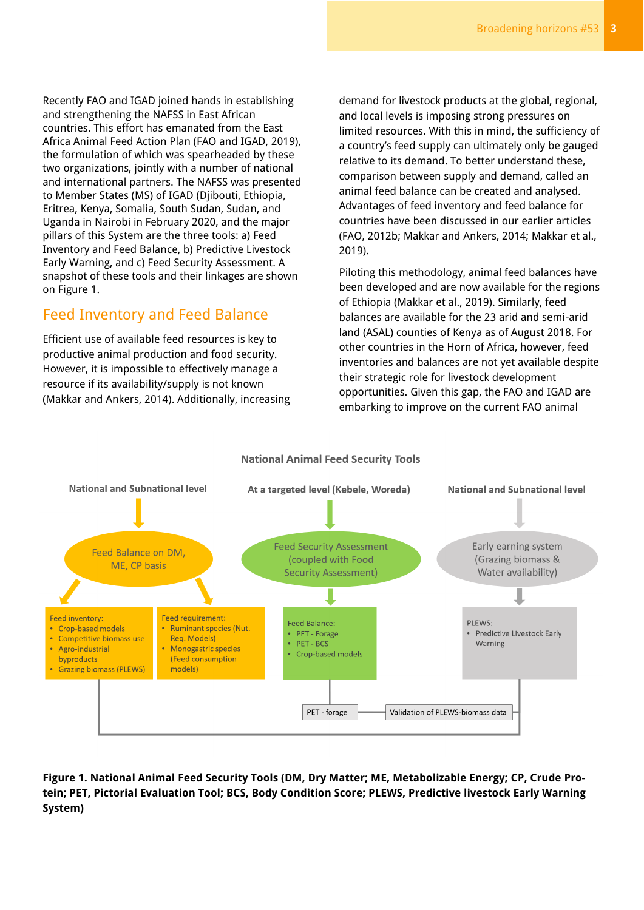Recently FAO and IGAD joined hands in establishing and strengthening the NAFSS in East African countries. This effort has emanated from the East Africa Animal Feed Action Plan (FAO and IGAD, 2019), the formulation of which was spearheaded by these two organizations, jointly with a number of national and international partners. The NAFSS was presented to Member States (MS) of IGAD (Djibouti, Ethiopia, Eritrea, Kenya, Somalia, South Sudan, Sudan, and Uganda in Nairobi in February 2020, and the major pillars of this System are the three tools: a) Feed Inventory and Feed Balance, b) Predictive Livestock Early Warning, and c) Feed Security Assessment. A snapshot of these tools and their linkages are shown on Figure 1.

#### Feed Inventory and Feed Balance

Efficient use of available feed resources is key to productive animal production and food security. However, it is impossible to effectively manage a resource if its availability/supply is not known (Makkar and Ankers, 2014). Additionally, increasing demand for livestock products at the global, regional, and local levels is imposing strong pressures on limited resources. With this in mind, the sufficiency of a country's feed supply can ultimately only be gauged relative to its demand. To better understand these, comparison between supply and demand, called an animal feed balance can be created and analysed. Advantages of feed inventory and feed balance for countries have been discussed in our earlier articles (FAO, 2012b; Makkar and Ankers, 2014; Makkar et al., 2019).

Piloting this methodology, animal feed balances have been developed and are now available for the regions of Ethiopia (Makkar et al., 2019). Similarly, feed balances are available for the 23 arid and semi-arid land (ASAL) counties of Kenya as of August 2018. For other countries in the Horn of Africa, however, feed inventories and balances are not yet available despite their strategic role for livestock development opportunities. Given this gap, the FAO and IGAD are embarking to improve on the current FAO animal



#### **Figure 1. National Animal Feed Security Tools (DM, Dry Matter; ME, Metabolizable Energy; CP, Crude Protein; PET, Pictorial Evaluation Tool; BCS, Body Condition Score; PLEWS, Predictive livestock Early Warning System)**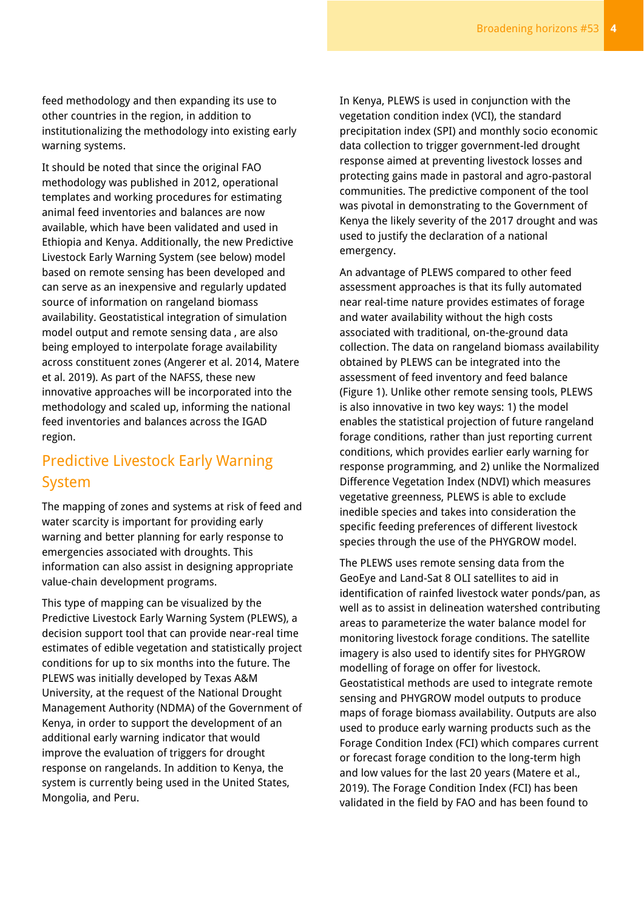feed methodology and then expanding its use to other countries in the region, in addition to institutionalizing the methodology into existing early warning systems.

It should be noted that since the original FAO methodology was published in 2012, operational templates and working procedures for estimating animal feed inventories and balances are now available, which have been validated and used in Ethiopia and Kenya. Additionally, the new Predictive Livestock Early Warning System (see below) model based on remote sensing has been developed and can serve as an inexpensive and regularly updated source of information on rangeland biomass availability. Geostatistical integration of simulation model output and remote sensing data , are also being employed to interpolate forage availability across constituent zones (Angerer et al. 2014, Matere et al. 2019). As part of the NAFSS, these new innovative approaches will be incorporated into the methodology and scaled up, informing the national feed inventories and balances across the IGAD region.

#### Predictive Livestock Early Warning System

The mapping of zones and systems at risk of feed and water scarcity is important for providing early warning and better planning for early response to emergencies associated with droughts. This information can also assist in designing appropriate value-chain development programs.

This type of mapping can be visualized by the Predictive Livestock Early Warning System (PLEWS), a decision support tool that can provide near-real time estimates of edible vegetation and statistically project conditions for up to six months into the future. The PLEWS was initially developed by Texas A&M University, at the request of the National Drought Management Authority (NDMA) of the Government of Kenya, in order to support the development of an additional early warning indicator that would improve the evaluation of triggers for drought response on rangelands. In addition to Kenya, the system is currently being used in the United States, Mongolia, and Peru.

In Kenya, PLEWS is used in conjunction with the vegetation condition index (VCI), the standard precipitation index (SPI) and monthly socio economic data collection to trigger government-led drought response aimed at preventing livestock losses and protecting gains made in pastoral and agro-pastoral communities. The predictive component of the tool was pivotal in demonstrating to the Government of Kenya the likely severity of the 2017 drought and was used to justify the declaration of a national emergency.

An advantage of PLEWS compared to other feed assessment approaches is that its fully automated near real-time nature provides estimates of forage and water availability without the high costs associated with traditional, on-the-ground data collection. The data on rangeland biomass availability obtained by PLEWS can be integrated into the assessment of feed inventory and feed balance (Figure 1). Unlike other remote sensing tools, PLEWS is also innovative in two key ways: 1) the model enables the statistical projection of future rangeland forage conditions, rather than just reporting current conditions, which provides earlier early warning for response programming, and 2) unlike the Normalized Difference Vegetation Index (NDVI) which measures vegetative greenness, PLEWS is able to exclude inedible species and takes into consideration the specific feeding preferences of different livestock species through the use of the PHYGROW model.

The PLEWS uses remote sensing data from the GeoEye and Land-Sat 8 OLI satellites to aid in identification of rainfed livestock water ponds/pan, as well as to assist in delineation watershed contributing areas to parameterize the water balance model for monitoring livestock forage conditions. The satellite imagery is also used to identify sites for PHYGROW modelling of forage on offer for livestock. Geostatistical methods are used to integrate remote sensing and PHYGROW model outputs to produce maps of forage biomass availability. Outputs are also used to produce early warning products such as the Forage Condition Index (FCI) which compares current or forecast forage condition to the long-term high and low values for the last 20 years (Matere et al., 2019). The Forage Condition Index (FCI) has been validated in the field by FAO and has been found to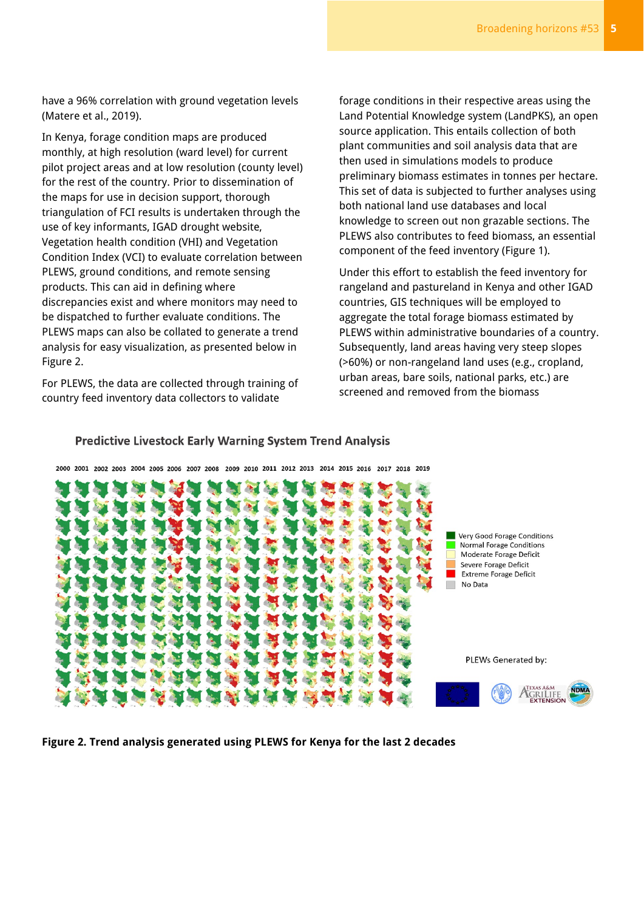have a 96% correlation with ground vegetation levels (Matere et al., 2019).

In Kenya, forage condition maps are produced monthly, at high resolution (ward level) for current pilot project areas and at low resolution (county level) for the rest of the country. Prior to dissemination of the maps for use in decision support, thorough triangulation of FCI results is undertaken through the use of key informants, IGAD drought website, Vegetation health condition (VHI) and Vegetation Condition Index (VCI) to evaluate correlation between PLEWS, ground conditions, and remote sensing products. This can aid in defining where discrepancies exist and where monitors may need to be dispatched to further evaluate conditions. The PLEWS maps can also be collated to generate a trend analysis for easy visualization, as presented below in Figure 2.

For PLEWS, the data are collected through training of country feed inventory data collectors to validate

forage conditions in their respective areas using the Land Potential Knowledge system (LandPKS), an open source application. This entails collection of both plant communities and soil analysis data that are then used in simulations models to produce preliminary biomass estimates in tonnes per hectare. This set of data is subjected to further analyses using both national land use databases and local knowledge to screen out non grazable sections. The PLEWS also contributes to feed biomass, an essential component of the feed inventory (Figure 1).

Under this effort to establish the feed inventory for rangeland and pastureland in Kenya and other IGAD countries, GIS techniques will be employed to aggregate the total forage biomass estimated by PLEWS within administrative boundaries of a country. Subsequently, land areas having very steep slopes (>60%) or non-rangeland land uses (e.g., cropland, urban areas, bare soils, national parks, etc.) are screened and removed from the biomass

#### **Predictive Livestock Early Warning System Trend Analysis**

2000 2001 2002 2003 2004 2005 2006 2007 2008 2009 2010 2011 2012 2013 2014 2015 2016 2017 2018 2019 **Very Good Forage Conditions Normal Forage Conditions** Moderate Forage Deficit Severe Forage Deficit **Extreme Forage Deficit** No Data PLEWs Generated by:

**Figure 2. Trend analysis generated using PLEWS for Kenya for the last 2 decades**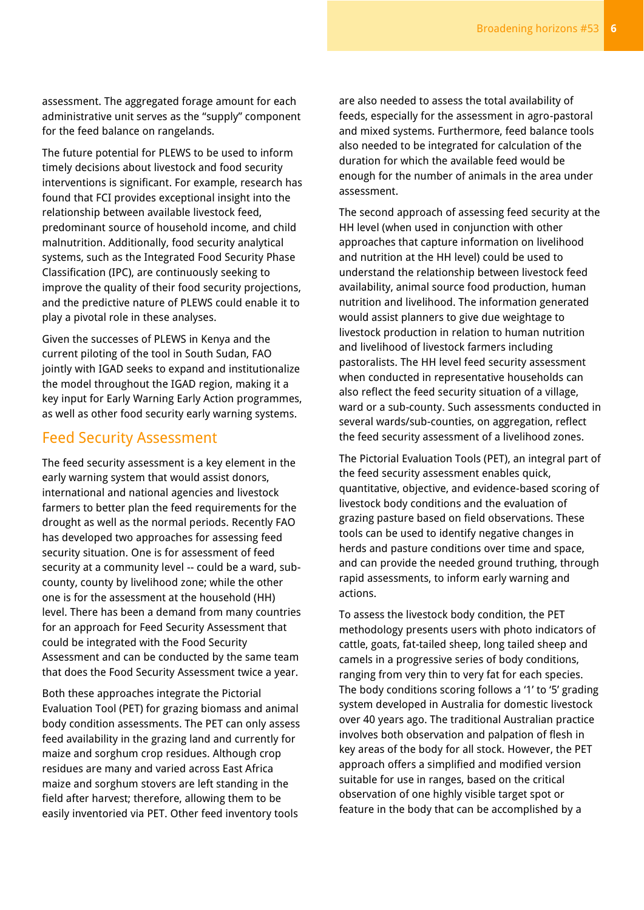assessment. The aggregated forage amount for each administrative unit serves as the "supply" component for the feed balance on rangelands.

The future potential for PLEWS to be used to inform timely decisions about livestock and food security interventions is significant. For example, research has found that FCI provides exceptional insight into the relationship between available livestock feed, predominant source of household income, and child malnutrition. Additionally, food security analytical systems, such as the Integrated Food Security Phase Classification (IPC), are continuously seeking to improve the quality of their food security projections, and the predictive nature of PLEWS could enable it to play a pivotal role in these analyses.

Given the successes of PLEWS in Kenya and the current piloting of the tool in South Sudan, FAO jointly with IGAD seeks to expand and institutionalize the model throughout the IGAD region, making it a key input for Early Warning Early Action programmes, as well as other food security early warning systems.

#### Feed Security Assessment

The feed security assessment is a key element in the early warning system that would assist donors, international and national agencies and livestock farmers to better plan the feed requirements for the drought as well as the normal periods. Recently FAO has developed two approaches for assessing feed security situation. One is for assessment of feed security at a community level -- could be a ward, subcounty, county by livelihood zone; while the other one is for the assessment at the household (HH) level. There has been a demand from many countries for an approach for Feed Security Assessment that could be integrated with the Food Security Assessment and can be conducted by the same team that does the Food Security Assessment twice a year.

Both these approaches integrate the Pictorial Evaluation Tool (PET) for grazing biomass and animal body condition assessments. The PET can only assess feed availability in the grazing land and currently for maize and sorghum crop residues. Although crop residues are many and varied across East Africa maize and sorghum stovers are left standing in the field after harvest; therefore, allowing them to be easily inventoried via PET. Other feed inventory tools

are also needed to assess the total availability of feeds, especially for the assessment in agro-pastoral and mixed systems. Furthermore, feed balance tools also needed to be integrated for calculation of the duration for which the available feed would be enough for the number of animals in the area under assessment.

The second approach of assessing feed security at the HH level (when used in conjunction with other approaches that capture information on livelihood and nutrition at the HH level) could be used to understand the relationship between livestock feed availability, animal source food production, human nutrition and livelihood. The information generated would assist planners to give due weightage to livestock production in relation to human nutrition and livelihood of livestock farmers including pastoralists. The HH level feed security assessment when conducted in representative households can also reflect the feed security situation of a village, ward or a sub-county. Such assessments conducted in several wards/sub-counties, on aggregation, reflect the feed security assessment of a livelihood zones.

The Pictorial Evaluation Tools (PET), an integral part of the feed security assessment enables quick, quantitative, objective, and evidence-based scoring of livestock body conditions and the evaluation of grazing pasture based on field observations. These tools can be used to identify negative changes in herds and pasture conditions over time and space, and can provide the needed ground truthing, through rapid assessments, to inform early warning and actions.

To assess the livestock body condition, the PET methodology presents users with photo indicators of cattle, goats, fat-tailed sheep, long tailed sheep and camels in a progressive series of body conditions, ranging from very thin to very fat for each species. The body conditions scoring follows a '1' to '5' grading system developed in Australia for domestic livestock over 40 years ago. The traditional Australian practice involves both observation and palpation of flesh in key areas of the body for all stock. However, the PET approach offers a simplified and modified version suitable for use in ranges, based on the critical observation of one highly visible target spot or feature in the body that can be accomplished by a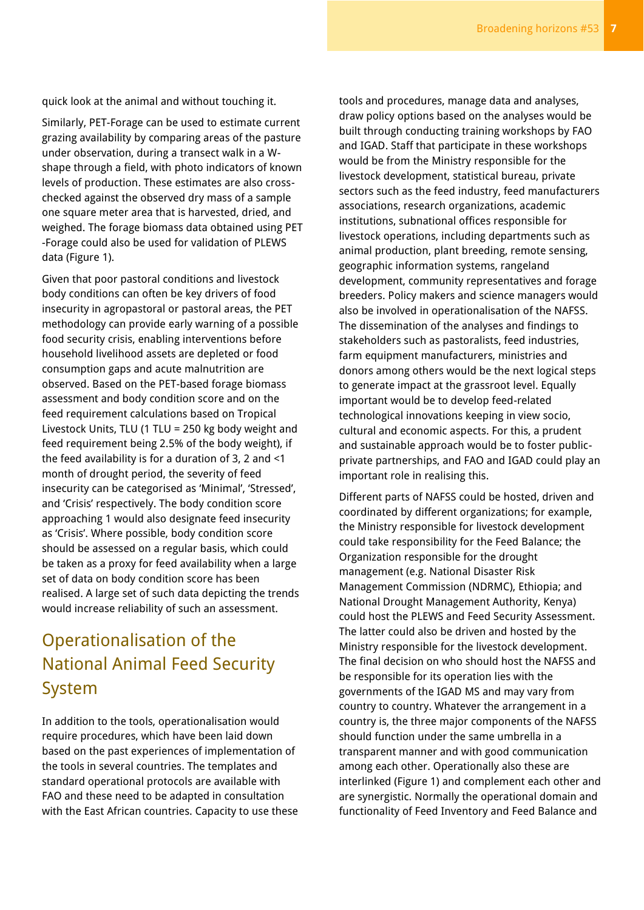quick look at the animal and without touching it.

Similarly, PET-Forage can be used to estimate current grazing availability by comparing areas of the pasture under observation, during a transect walk in a Wshape through a field, with photo indicators of known levels of production. These estimates are also crosschecked against the observed dry mass of a sample one square meter area that is harvested, dried, and weighed. The forage biomass data obtained using PET -Forage could also be used for validation of PLEWS data (Figure 1).

Given that poor pastoral conditions and livestock body conditions can often be key drivers of food insecurity in agropastoral or pastoral areas, the PET methodology can provide early warning of a possible food security crisis, enabling interventions before household livelihood assets are depleted or food consumption gaps and acute malnutrition are observed. Based on the PET-based forage biomass assessment and body condition score and on the feed requirement calculations based on Tropical Livestock Units, TLU (1 TLU = 250 kg body weight and feed requirement being 2.5% of the body weight), if the feed availability is for a duration of 3, 2 and <1 month of drought period, the severity of feed insecurity can be categorised as 'Minimal', 'Stressed', and 'Crisis' respectively. The body condition score approaching 1 would also designate feed insecurity as 'Crisis'. Where possible, body condition score should be assessed on a regular basis, which could be taken as a proxy for feed availability when a large set of data on body condition score has been realised. A large set of such data depicting the trends would increase reliability of such an assessment.

### Operationalisation of the National Animal Feed Security System

In addition to the tools, operationalisation would require procedures, which have been laid down based on the past experiences of implementation of the tools in several countries. The templates and standard operational protocols are available with FAO and these need to be adapted in consultation with the East African countries. Capacity to use these tools and procedures, manage data and analyses, draw policy options based on the analyses would be built through conducting training workshops by FAO and IGAD. Staff that participate in these workshops would be from the Ministry responsible for the livestock development, statistical bureau, private sectors such as the feed industry, feed manufacturers associations, research organizations, academic institutions, subnational offices responsible for livestock operations, including departments such as animal production, plant breeding, remote sensing, geographic information systems, rangeland development, community representatives and forage breeders. Policy makers and science managers would also be involved in operationalisation of the NAFSS. The dissemination of the analyses and findings to stakeholders such as pastoralists, feed industries, farm equipment manufacturers, ministries and donors among others would be the next logical steps to generate impact at the grassroot level. Equally important would be to develop feed-related technological innovations keeping in view socio, cultural and economic aspects. For this, a prudent and sustainable approach would be to foster publicprivate partnerships, and FAO and IGAD could play an important role in realising this.

Different parts of NAFSS could be hosted, driven and coordinated by different organizations; for example, the Ministry responsible for livestock development could take responsibility for the Feed Balance; the Organization responsible for the drought management (e.g. National Disaster Risk Management Commission (NDRMC), Ethiopia; and National Drought Management Authority, Kenya) could host the PLEWS and Feed Security Assessment. The latter could also be driven and hosted by the Ministry responsible for the livestock development. The final decision on who should host the NAFSS and be responsible for its operation lies with the governments of the IGAD MS and may vary from country to country. Whatever the arrangement in a country is, the three major components of the NAFSS should function under the same umbrella in a transparent manner and with good communication among each other. Operationally also these are interlinked (Figure 1) and complement each other and are synergistic. Normally the operational domain and functionality of Feed Inventory and Feed Balance and